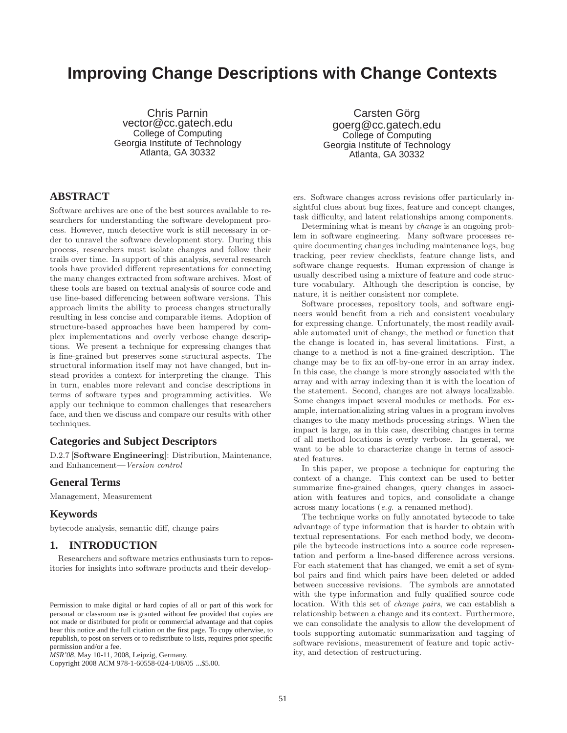# **Improving Change Descriptions with Change Contexts**

Chris Parnin vector@cc.gatech.edu College of Computing Georgia Institute of Technology Atlanta, GA 30332

Carsten Görg goerg@cc.gatech.edu College of Computing Georgia Institute of Technology Atlanta, GA 30332

# **ABSTRACT**

Software archives are one of the best sources available to researchers for understanding the software development process. However, much detective work is still necessary in order to unravel the software development story. During this process, researchers must isolate changes and follow their trails over time. In support of this analysis, several research tools have provided different representations for connecting the many changes extracted from software archives. Most of these tools are based on textual analysis of source code and use line-based differencing between software versions. This approach limits the ability to process changes structurally resulting in less concise and comparable items. Adoption of structure-based approaches have been hampered by complex implementations and overly verbose change descriptions. We present a technique for expressing changes that is fine-grained but preserves some structural aspects. The structural information itself may not have changed, but instead provides a context for interpreting the change. This in turn, enables more relevant and concise descriptions in terms of software types and programming activities. We apply our technique to common challenges that researchers face, and then we discuss and compare our results with other techniques.

# **Categories and Subject Descriptors**

D.2.7 [**Software Engineering**]: Distribution, Maintenance, and Enhancement—*Version control*

# **General Terms**

Management, Measurement

## **Keywords**

bytecode analysis, semantic diff, change pairs

# **1. INTRODUCTION**

Researchers and software metrics enthusiasts turn to repositories for insights into software products and their develop-

Copyright 2008 ACM 978-1-60558-024-1/08/05 ...\$5.00.

ers. Software changes across revisions offer particularly insightful clues about bug fixes, feature and concept changes, task difficulty, and latent relationships among components.

Determining what is meant by *change* is an ongoing problem in software engineering. Many software processes require documenting changes including maintenance logs, bug tracking, peer review checklists, feature change lists, and software change requests. Human expression of change is usually described using a mixture of feature and code structure vocabulary. Although the description is concise, by nature, it is neither consistent nor complete.

Software processes, repository tools, and software engineers would benefit from a rich and consistent vocabulary for expressing change. Unfortunately, the most readily available automated unit of change, the method or function that the change is located in, has several limitations. First, a change to a method is not a fine-grained description. The change may be to fix an off-by-one error in an array index. In this case, the change is more strongly associated with the array and with array indexing than it is with the location of the statement. Second, changes are not always localizable. Some changes impact several modules or methods. For example, internationalizing string values in a program involves changes to the many methods processing strings. When the impact is large, as in this case, describing changes in terms of all method locations is overly verbose. In general, we want to be able to characterize change in terms of associated features.

In this paper, we propose a technique for capturing the context of a change. This context can be used to better summarize fine-grained changes, query changes in association with features and topics, and consolidate a change across many locations (*e.g.* a renamed method).

The technique works on fully annotated bytecode to take advantage of type information that is harder to obtain with textual representations. For each method body, we decompile the bytecode instructions into a source code representation and perform a line-based difference across versions. For each statement that has changed, we emit a set of symbol pairs and find which pairs have been deleted or added between successive revisions. The symbols are annotated with the type information and fully qualified source code location. With this set of *change pairs*, we can establish a relationship between a change and its context. Furthermore, we can consolidate the analysis to allow the development of tools supporting automatic summarization and tagging of software revisions, measurement of feature and topic activity, and detection of restructuring.

Permission to make digital or hard copies of all or part of this work for personal or classroom use is granted without fee provided that copies are not made or distributed for profit or commercial advantage and that copies bear this notice and the full citation on the first page. To copy otherwise, to republish, to post on servers or to redistribute to lists, requires prior specific permission and/or a fee.

*MSR'08,* May 10-11, 2008, Leipzig, Germany.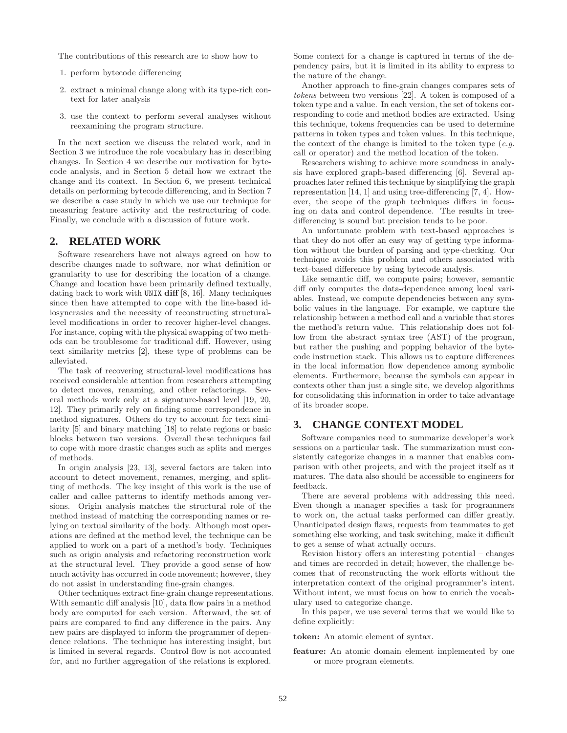The contributions of this research are to show how to

- 1. perform bytecode differencing
- 2. extract a minimal change along with its type-rich context for later analysis
- 3. use the context to perform several analyses without reexamining the program structure.

In the next section we discuss the related work, and in Section 3 we introduce the role vocabulary has in describing changes. In Section 4 we describe our motivation for bytecode analysis, and in Section 5 detail how we extract the change and its context. In Section 6, we present technical details on performing bytecode differencing, and in Section 7 we describe a case study in which we use our technique for measuring feature activity and the restructuring of code. Finally, we conclude with a discussion of future work.

## **2. RELATED WORK**

Software researchers have not always agreed on how to describe changes made to software, nor what definition or granularity to use for describing the location of a change. Change and location have been primarily defined textually, dating back to work with UNIX **diff** [8, 16]. Many techniques since then have attempted to cope with the line-based idiosyncrasies and the necessity of reconstructing structurallevel modifications in order to recover higher-level changes. For instance, coping with the physical swapping of two methods can be troublesome for traditional diff. However, using text similarity metrics [2], these type of problems can be alleviated.

The task of recovering structural-level modifications has received considerable attention from researchers attempting to detect moves, renaming, and other refactorings. Several methods work only at a signature-based level [19, 20, 12]. They primarily rely on finding some correspondence in method signatures. Others do try to account for text similarity [5] and binary matching [18] to relate regions or basic blocks between two versions. Overall these techniques fail to cope with more drastic changes such as splits and merges of methods.

In origin analysis [23, 13], several factors are taken into account to detect movement, renames, merging, and splitting of methods. The key insight of this work is the use of caller and callee patterns to identify methods among versions. Origin analysis matches the structural role of the method instead of matching the corresponding names or relying on textual similarity of the body. Although most operations are defined at the method level, the technique can be applied to work on a part of a method's body. Techniques such as origin analysis and refactoring reconstruction work at the structural level. They provide a good sense of how much activity has occurred in code movement; however, they do not assist in understanding fine-grain changes.

Other techniques extract fine-grain change representations. With semantic diff analysis [10], data flow pairs in a method body are computed for each version. Afterward, the set of pairs are compared to find any difference in the pairs. Any new pairs are displayed to inform the programmer of dependence relations. The technique has interesting insight, but is limited in several regards. Control flow is not accounted for, and no further aggregation of the relations is explored.

Some context for a change is captured in terms of the dependency pairs, but it is limited in its ability to express to the nature of the change.

Another approach to fine-grain changes compares sets of *tokens* between two versions [22]. A token is composed of a token type and a value. In each version, the set of tokens corresponding to code and method bodies are extracted. Using this technique, tokens frequencies can be used to determine patterns in token types and token values. In this technique, the context of the change is limited to the token type (*e.g.* call or operator) and the method location of the token.

Researchers wishing to achieve more soundness in analysis have explored graph-based differencing [6]. Several approaches later refined this technique by simplifying the graph representation [14, 1] and using tree-differencing [7, 4]. However, the scope of the graph techniques differs in focusing on data and control dependence. The results in treedifferencing is sound but precision tends to be poor.

An unfortunate problem with text-based approaches is that they do not offer an easy way of getting type information without the burden of parsing and type-checking. Our technique avoids this problem and others associated with text-based difference by using bytecode analysis.

Like semantic diff, we compute pairs; however, semantic diff only computes the data-dependence among local variables. Instead, we compute dependencies between any symbolic values in the language. For example, we capture the relationship between a method call and a variable that stores the method's return value. This relationship does not follow from the abstract syntax tree (AST) of the program, but rather the pushing and popping behavior of the bytecode instruction stack. This allows us to capture differences in the local information flow dependence among symbolic elements. Furthermore, because the symbols can appear in contexts other than just a single site, we develop algorithms for consolidating this information in order to take advantage of its broader scope.

# **3. CHANGE CONTEXT MODEL**

Software companies need to summarize developer's work sessions on a particular task. The summarization must consistently categorize changes in a manner that enables comparison with other projects, and with the project itself as it matures. The data also should be accessible to engineers for feedback.

There are several problems with addressing this need. Even though a manager specifies a task for programmers to work on, the actual tasks performed can differ greatly. Unanticipated design flaws, requests from teammates to get something else working, and task switching, make it difficult to get a sense of what actually occurs.

Revision history offers an interesting potential – changes and times are recorded in detail; however, the challenge becomes that of reconstructing the work efforts without the interpretation context of the original programmer's intent. Without intent, we must focus on how to enrich the vocabulary used to categorize change.

In this paper, we use several terms that we would like to define explicitly:

**token:** An atomic element of syntax.

**feature:** An atomic domain element implemented by one or more program elements.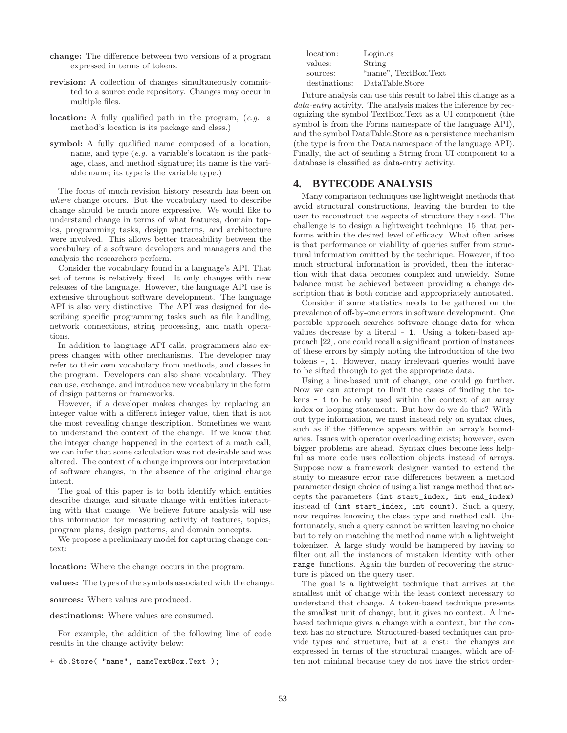- **change:** The difference between two versions of a program expressed in terms of tokens.
- **revision:** A collection of changes simultaneously committed to a source code repository. Changes may occur in multiple files.
- **location:** A fully qualified path in the program, (*e.g.* a method's location is its package and class.)
- **symbol:** A fully qualified name composed of a location, name, and type (*e.g.* a variable's location is the package, class, and method signature; its name is the variable name; its type is the variable type.)

The focus of much revision history research has been on *where* change occurs. But the vocabulary used to describe change should be much more expressive. We would like to understand change in terms of what features, domain topics, programming tasks, design patterns, and architecture were involved. This allows better traceability between the vocabulary of a software developers and managers and the analysis the researchers perform.

Consider the vocabulary found in a language's API. That set of terms is relatively fixed. It only changes with new releases of the language. However, the language API use is extensive throughout software development. The language API is also very distinctive. The API was designed for describing specific programming tasks such as file handling, network connections, string processing, and math operations.

In addition to language API calls, programmers also express changes with other mechanisms. The developer may refer to their own vocabulary from methods, and classes in the program. Developers can also share vocabulary. They can use, exchange, and introduce new vocabulary in the form of design patterns or frameworks.

However, if a developer makes changes by replacing an integer value with a different integer value, then that is not the most revealing change description. Sometimes we want to understand the context of the change. If we know that the integer change happened in the context of a math call, we can infer that some calculation was not desirable and was altered. The context of a change improves our interpretation of software changes, in the absence of the original change intent.

The goal of this paper is to both identify which entities describe change, and situate change with entities interacting with that change. We believe future analysis will use this information for measuring activity of features, topics, program plans, design patterns, and domain concepts.

We propose a preliminary model for capturing change context:

**location:** Where the change occurs in the program.

**values:** The types of the symbols associated with the change.

**sources:** Where values are produced.

**destinations:** Where values are consumed.

For example, the addition of the following line of code results in the change activity below:

+ db.Store( "name", nameTextBox.Text );

| location:     | Login.cs             |
|---------------|----------------------|
| values:       | String               |
| sources:      | "name", TextBox.Text |
| destinations: | DataTable.Store      |

Future analysis can use this result to label this change as a *data-entry* activity. The analysis makes the inference by recognizing the symbol TextBox.Text as a UI component (the symbol is from the Forms namespace of the language API), and the symbol DataTable.Store as a persistence mechanism (the type is from the Data namespace of the language API). Finally, the act of sending a String from UI component to a database is classified as data-entry activity.

# **4. BYTECODE ANALYSIS**

Many comparison techniques use lightweight methods that avoid structural constructions, leaving the burden to the user to reconstruct the aspects of structure they need. The challenge is to design a lightweight technique [15] that performs within the desired level of efficacy. What often arises is that performance or viability of queries suffer from structural information omitted by the technique. However, if too much structural information is provided, then the interaction with that data becomes complex and unwieldy. Some balance must be achieved between providing a change description that is both concise and appropriately annotated.

Consider if some statistics needs to be gathered on the prevalence of off-by-one errors in software development. One possible approach searches software change data for when values decrease by a literal  $-1$ . Using a token-based approach [22], one could recall a significant portion of instances of these errors by simply noting the introduction of the two tokens -, 1. However, many irrelevant queries would have to be sifted through to get the appropriate data.

Using a line-based unit of change, one could go further. Now we can attempt to limit the cases of finding the tokens - 1 to be only used within the context of an array index or looping statements. But how do we do this? Without type information, we must instead rely on syntax clues, such as if the difference appears within an array's boundaries. Issues with operator overloading exists; however, even bigger problems are ahead. Syntax clues become less helpful as more code uses collection objects instead of arrays. Suppose now a framework designer wanted to extend the study to measure error rate differences between a method parameter design choice of using a list range method that accepts the parameters (int start\_index, int end\_index) instead of (int start\_index, int count). Such a query, now requires knowing the class type and method call. Unfortunately, such a query cannot be written leaving no choice but to rely on matching the method name with a lightweight tokenizer. A large study would be hampered by having to filter out all the instances of mistaken identity with other range functions. Again the burden of recovering the structure is placed on the query user.

The goal is a lightweight technique that arrives at the smallest unit of change with the least context necessary to understand that change. A token-based technique presents the smallest unit of change, but it gives no context. A linebased technique gives a change with a context, but the context has no structure. Structured-based techniques can provide types and structure, but at a cost: the changes are expressed in terms of the structural changes, which are often not minimal because they do not have the strict order-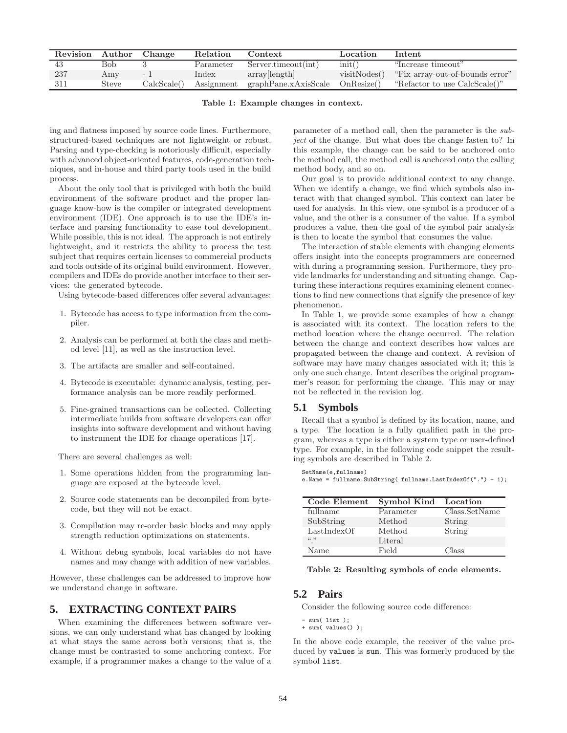| Revision | Author | Change      | Relation   | Context                                 | Location     | <b>Intent</b>                   |
|----------|--------|-------------|------------|-----------------------------------------|--------------|---------------------------------|
| -43      | Bob    |             | Parameter  | Server.timeout(int)                     | init()       | "Increase timeout"              |
| 237      | Amy    | $\sim$      | Index      | array[length]                           | visitNodes() | "Fix array-out-of-bounds error" |
| - 311    | Steve  | CalcScale() | Assignment | $graphPane.xAxisScale \quad OnResize()$ |              | "Refactor to use CalcScale()"   |

**Table 1: Example changes in context.**

ing and flatness imposed by source code lines. Furthermore, structured-based techniques are not lightweight or robust. Parsing and type-checking is notoriously difficult, especially with advanced object-oriented features, code-generation techniques, and in-house and third party tools used in the build process.

About the only tool that is privileged with both the build environment of the software product and the proper language know-how is the compiler or integrated development environment (IDE). One approach is to use the IDE's interface and parsing functionality to ease tool development. While possible, this is not ideal. The approach is not entirely lightweight, and it restricts the ability to process the test subject that requires certain licenses to commercial products and tools outside of its original build environment. However, compilers and IDEs do provide another interface to their services: the generated bytecode.

Using bytecode-based differences offer several advantages:

- 1. Bytecode has access to type information from the compiler.
- 2. Analysis can be performed at both the class and method level [11], as well as the instruction level.
- 3. The artifacts are smaller and self-contained.
- 4. Bytecode is executable: dynamic analysis, testing, performance analysis can be more readily performed.
- 5. Fine-grained transactions can be collected. Collecting intermediate builds from software developers can offer insights into software development and without having to instrument the IDE for change operations [17].

There are several challenges as well:

- 1. Some operations hidden from the programming language are exposed at the bytecode level.
- 2. Source code statements can be decompiled from bytecode, but they will not be exact.
- 3. Compilation may re-order basic blocks and may apply strength reduction optimizations on statements.
- 4. Without debug symbols, local variables do not have names and may change with addition of new variables.

However, these challenges can be addressed to improve how we understand change in software.

# **5. EXTRACTING CONTEXT PAIRS**

When examining the differences between software versions, we can only understand what has changed by looking at what stays the same across both versions; that is, the change must be contrasted to some anchoring context. For example, if a programmer makes a change to the value of a

parameter of a method call, then the parameter is the *subject* of the change. But what does the change fasten to? In this example, the change can be said to be anchored onto the method call, the method call is anchored onto the calling method body, and so on.

Our goal is to provide additional context to any change. When we identify a change, we find which symbols also interact with that changed symbol. This context can later be used for analysis. In this view, one symbol is a producer of a value, and the other is a consumer of the value. If a symbol produces a value, then the goal of the symbol pair analysis is then to locate the symbol that consumes the value.

The interaction of stable elements with changing elements offers insight into the concepts programmers are concerned with during a programming session. Furthermore, they provide landmarks for understanding and situating change. Capturing these interactions requires examining element connections to find new connections that signify the presence of key phenomenon.

In Table 1, we provide some examples of how a change is associated with its context. The location refers to the method location where the change occurred. The relation between the change and context describes how values are propagated between the change and context. A revision of software may have many changes associated with it; this is only one such change. Intent describes the original programmer's reason for performing the change. This may or may not be reflected in the revision log.

# **5.1 Symbols**

SetName(e,fullname)

Recall that a symbol is defined by its location, name, and a type. The location is a fully qualified path in the program, whereas a type is either a system type or user-defined type. For example, in the following code snippet the resulting symbols are described in Table 2.

e.Name = fullname.SubString( fullname.LastIndexOf(".") + 1);

| Code Element | Symbol Kind Location |               |
|--------------|----------------------|---------------|
| fullname     | Parameter            | Class.SetName |
| SubString    | Method               | String        |
| LastIndexOf  | Method               | String        |
| (6, 2)       | Literal              |               |
| Name         | Field                | Class         |

**Table 2: Resulting symbols of code elements.**

# **5.2 Pairs**

Consider the following source code difference:

sum(list); + sum( values() );

In the above code example, the receiver of the value produced by values is sum. This was formerly produced by the symbol list.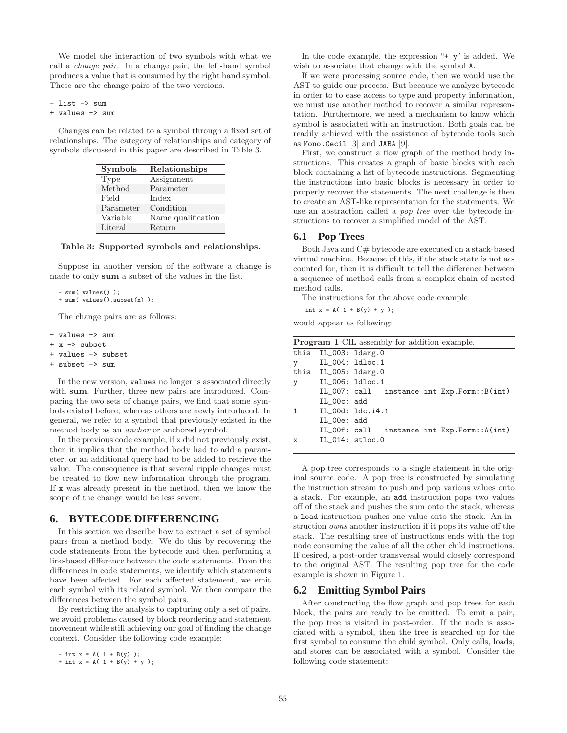We model the interaction of two symbols with what we call a *change pair*. In a change pair, the left-hand symbol produces a value that is consumed by the right hand symbol. These are the change pairs of the two versions.

- list -> sum + values -> sum

Changes can be related to a symbol through a fixed set of relationships. The category of relationships and category of symbols discussed in this paper are described in Table 3.

| Symbols   | Relationships      |
|-----------|--------------------|
| Type      | Assignment         |
| Method    | Parameter          |
| Field     | Index              |
| Parameter | Condition          |
| Variable  | Name qualification |
| Literal   | Return             |

#### **Table 3: Supported symbols and relationships.**

Suppose in another version of the software a change is made to only **sum** a subset of the values in the list.

```
- sum( values() );
```

```
+ sum( values().subset(x) );
```
The change pairs are as follows:

- values -> sum
- + x -> subset
- + values -> subset
- + subset -> sum

In the new version, values no longer is associated directly with **sum**. Further, three new pairs are introduced. Comparing the two sets of change pairs, we find that some symbols existed before, whereas others are newly introduced. In general, we refer to a symbol that previously existed in the method body as an *anchor* or anchored symbol.

In the previous code example, if x did not previously exist, then it implies that the method body had to add a parameter, or an additional query had to be added to retrieve the value. The consequence is that several ripple changes must be created to flow new information through the program. If x was already present in the method, then we know the scope of the change would be less severe.

# **6. BYTECODE DIFFERENCING**

In this section we describe how to extract a set of symbol pairs from a method body. We do this by recovering the code statements from the bytecode and then performing a line-based difference between the code statements. From the differences in code statements, we identify which statements have been affected. For each affected statement, we emit each symbol with its related symbol. We then compare the differences between the symbol pairs.

By restricting the analysis to capturing only a set of pairs, we avoid problems caused by block reordering and statement movement while still achieving our goal of finding the change context. Consider the following code example:

```
- int x = A(1 + B(y));
+ int x = A( 1 + B(y) + y );
```
In the code example, the expression  $4 + y$  is added. We wish to associate that change with the symbol A.

If we were processing source code, then we would use the AST to guide our process. But because we analyze bytecode in order to to ease access to type and property information, we must use another method to recover a similar representation. Furthermore, we need a mechanism to know which symbol is associated with an instruction. Both goals can be readily achieved with the assistance of bytecode tools such as Mono.Cecil [3] and JABA [9].

First, we construct a flow graph of the method body instructions. This creates a graph of basic blocks with each block containing a list of bytecode instructions. Segmenting the instructions into basic blocks is necessary in order to properly recover the statements. The next challenge is then to create an AST-like representation for the statements. We use an abstraction called a *pop tree* over the bytecode instructions to recover a simplified model of the AST.

## **6.1 Pop Trees**

Both Java and C# bytecode are executed on a stack-based virtual machine. Because of this, if the stack state is not accounted for, then it is difficult to tell the difference between a sequence of method calls from a complex chain of nested method calls.

The instructions for the above code example

int  $x = A( 1 + B(y) + y )$ ;

would appear as following:

| <b>Program 1</b> CIL assembly for addition example. |                      |                                                |  |
|-----------------------------------------------------|----------------------|------------------------------------------------|--|
|                                                     | this IL_003: ldarg.0 |                                                |  |
| y                                                   | $IL_004:1dloc.1$     |                                                |  |
|                                                     | this IL_005: ldarg.0 |                                                |  |
| y                                                   | IL_006: 1dloc.1      |                                                |  |
|                                                     |                      | $IL_007:$ call instance int $Exp.Form::B(int)$ |  |
|                                                     | $IL_00c: add$        |                                                |  |
|                                                     | IL_00d: 1dc.i4.1     |                                                |  |
|                                                     | IL_00e: add          |                                                |  |
|                                                     |                      | IL_00f: call instance int Exp.Form::A(int)     |  |
| x                                                   | $IL_014:$ stloc.0    |                                                |  |

A pop tree corresponds to a single statement in the original source code. A pop tree is constructed by simulating the instruction stream to push and pop various values onto a stack. For example, an add instruction pops two values off of the stack and pushes the sum onto the stack, whereas a load instruction pushes one value onto the stack. An instruction *owns* another instruction if it pops its value off the stack. The resulting tree of instructions ends with the top node consuming the value of all the other child instructions. If desired, a post-order transversal would closely correspond to the original AST. The resulting pop tree for the code example is shown in Figure 1.

# **6.2 Emitting Symbol Pairs**

After constructing the flow graph and pop trees for each block, the pairs are ready to be emitted. To emit a pair, the pop tree is visited in post-order. If the node is associated with a symbol, then the tree is searched up for the first symbol to consume the child symbol. Only calls, loads, and stores can be associated with a symbol. Consider the following code statement: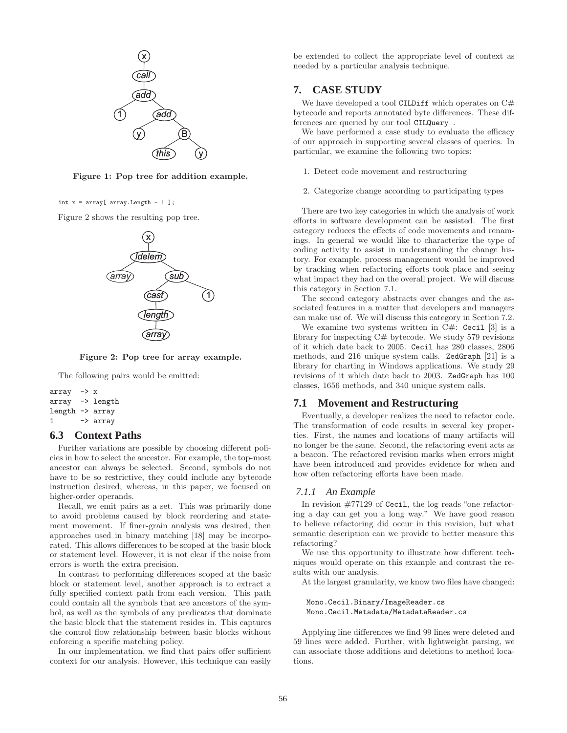

**Figure 1: Pop tree for addition example.**

int  $x = array[array.length - 1];$ 

Figure 2 shows the resulting pop tree.



**Figure 2: Pop tree for array example.**

The following pairs would be emitted:

```
array \rightarrow xarray -> length
length -> array
1 \rightarrow \text{array}
```
# **6.3 Context Paths**

Further variations are possible by choosing different policies in how to select the ancestor. For example, the top-most ancestor can always be selected. Second, symbols do not have to be so restrictive, they could include any bytecode instruction desired; whereas, in this paper, we focused on higher-order operands.

Recall, we emit pairs as a set. This was primarily done to avoid problems caused by block reordering and statement movement. If finer-grain analysis was desired, then approaches used in binary matching [18] may be incorporated. This allows differences to be scoped at the basic block or statement level. However, it is not clear if the noise from errors is worth the extra precision.

In contrast to performing differences scoped at the basic block or statement level, another approach is to extract a fully specified context path from each version. This path could contain all the symbols that are ancestors of the symbol, as well as the symbols of any predicates that dominate the basic block that the statement resides in. This captures the control flow relationship between basic blocks without enforcing a specific matching policy.

In our implementation, we find that pairs offer sufficient context for our analysis. However, this technique can easily be extended to collect the appropriate level of context as needed by a particular analysis technique.

# **7. CASE STUDY**

We have developed a tool CILDiff which operates on  $C#$ bytecode and reports annotated byte differences. These differences are queried by our tool CILQuery .

We have performed a case study to evaluate the efficacy of our approach in supporting several classes of queries. In particular, we examine the following two topics:

- 1. Detect code movement and restructuring
- 2. Categorize change according to participating types

There are two key categories in which the analysis of work efforts in software development can be assisted. The first category reduces the effects of code movements and renamings. In general we would like to characterize the type of coding activity to assist in understanding the change history. For example, process management would be improved by tracking when refactoring efforts took place and seeing what impact they had on the overall project. We will discuss this category in Section 7.1.

The second category abstracts over changes and the associated features in a matter that developers and managers can make use of. We will discuss this category in Section 7.2.

We examine two systems written in  $C#$ : Cecil [3] is a library for inspecting C# bytecode. We study 579 revisions of it which date back to 2005. Cecil has 280 classes, 2806 methods, and 216 unique system calls. ZedGraph [21] is a library for charting in Windows applications. We study 29 revisions of it which date back to 2003. ZedGraph has 100 classes, 1656 methods, and 340 unique system calls.

#### **7.1 Movement and Restructuring**

Eventually, a developer realizes the need to refactor code. The transformation of code results in several key properties. First, the names and locations of many artifacts will no longer be the same. Second, the refactoring event acts as a beacon. The refactored revision marks when errors might have been introduced and provides evidence for when and how often refactoring efforts have been made.

#### *7.1.1 An Example*

In revision #77129 of Cecil, the log reads "one refactoring a day can get you a long way." We have good reason to believe refactoring did occur in this revision, but what semantic description can we provide to better measure this refactoring?

We use this opportunity to illustrate how different techniques would operate on this example and contrast the results with our analysis.

At the largest granularity, we know two files have changed:

Mono.Cecil.Binary/ImageReader.cs Mono.Cecil.Metadata/MetadataReader.cs

Applying line differences we find 99 lines were deleted and 59 lines were added. Further, with lightweight parsing, we can associate those additions and deletions to method locations.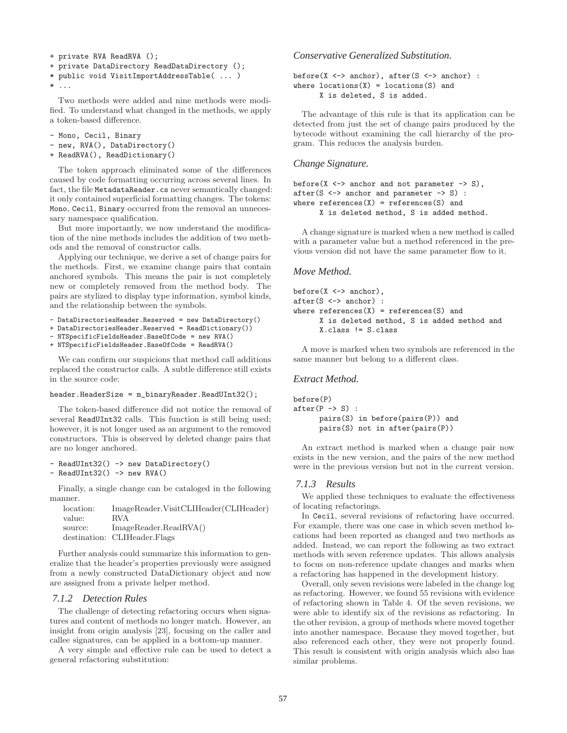```
+ private RVA ReadRVA ();
+ private DataDirectory ReadDataDirectory ();
* public void VisitImportAddressTable( ... )
* . . .
```
Two methods were added and nine methods were modified. To understand what changed in the methods, we apply a token-based difference.

- Mono, Cecil, Binary
- new, RVA(), DataDirectory()
- + ReadRVA(), ReadDictionary()

The token approach eliminated some of the differences caused by code formatting occurring across several lines. In fact, the file MetadataReader.cs never semantically changed: it only contained superficial formatting changes. The tokens: Mono, Cecil, Binary occurred from the removal an unnecessary namespace qualification.

But more importantly, we now understand the modification of the nine methods includes the addition of two methods and the removal of constructor calls.

Applying our technique, we derive a set of change pairs for the methods. First, we examine change pairs that contain anchored symbols. This means the pair is not completely new or completely removed from the method body. The pairs are stylized to display type information, symbol kinds, and the relationship between the symbols.

- DataDirectoriesHeader.Reserved = new DataDirectory()
- + DataDirectoriesHeader.Reserved = ReadDictionary())
- NTSpecificFieldsHeader.BaseOfCode = new RVA()
- + NTSpecificFieldsHeader.BaseOfCode = ReadRVA()

We can confirm our suspicions that method call additions replaced the constructor calls. A subtle difference still exists in the source code:

#### header.HeaderSize = m\_binaryReader.ReadUInt32();

The token-based difference did not notice the removal of several ReadUInt32 calls. This function is still being used; however, it is not longer used as an argument to the removed constructors. This is observed by deleted change pairs that are no longer anchored.

```
- ReadUInt32() -> new DataDirectory()
- ReadUInt32() -> new RVA()
```
Finally, a single change can be cataloged in the following manner.

| location: | ImageReader.VisitCLIHeader(CLIHeader)   |
|-----------|-----------------------------------------|
| value:    | RVA.                                    |
| source:   | $ImageReader.F\text{,}\text{ReadRNA}()$ |
|           | destination: CLIHeader.Flags            |

Further analysis could summarize this information to generalize that the header's properties previously were assigned from a newly constructed DataDictionary object and now are assigned from a private helper method.

#### *7.1.2 Detection Rules*

The challenge of detecting refactoring occurs when signatures and content of methods no longer match. However, an insight from origin analysis [23], focusing on the caller and callee signatures, can be applied in a bottom-up manner.

A very simple and effective rule can be used to detect a general refactoring substitution:

*Conservative Generalized Substitution.*

```
before(X \leq x anchor), after(S \leq x anchor) :
where locations(X) = locations(S) and
      X is deleted, S is added.
```
The advantage of this rule is that its application can be detected from just the set of change pairs produced by the bytecode without examining the call hierarchy of the program. This reduces the analysis burden.

#### *Change Signature.*

```
before(X \leq x anchor and not parameter \Rightarrow S),
after(S \leq S anchor and parameter \Rightarrow S) :
where references(X) = references(S) and
       X is deleted method, S is added method.
```
A change signature is marked when a new method is called with a parameter value but a method referenced in the previous version did not have the same parameter flow to it.

## *Move Method.*

```
before(X <-> anchor),
after(S <-> anchor) :
where references(X) = references(S) and
      X is deleted method, S is added method and
      X.class != S.class
```
A move is marked when two symbols are referenced in the same manner but belong to a different class.

## *Extract Method.*

```
before(P)
after(P \rightarrow S):
      pairs(S) in before(pairs(P)) and
      pairs(S) not in after(pairs(P))
```
An extract method is marked when a change pair now exists in the new version, and the pairs of the new method were in the previous version but not in the current version.

# *7.1.3 Results*

We applied these techniques to evaluate the effectiveness of locating refactorings.

In Cecil, several revisions of refactoring have occurred. For example, there was one case in which seven method locations had been reported as changed and two methods as added. Instead, we can report the following as two extract methods with seven reference updates. This allows analysis to focus on non-reference update changes and marks when a refactoring has happened in the development history.

Overall, only seven revisions were labeled in the change log as refactoring. However, we found 55 revisions with evidence of refactoring shown in Table 4. Of the seven revisions, we were able to identify six of the revisions as refactoring. In the other revision, a group of methods where moved together into another namespace. Because they moved together, but also referenced each other, they were not properly found. This result is consistent with origin analysis which also has similar problems.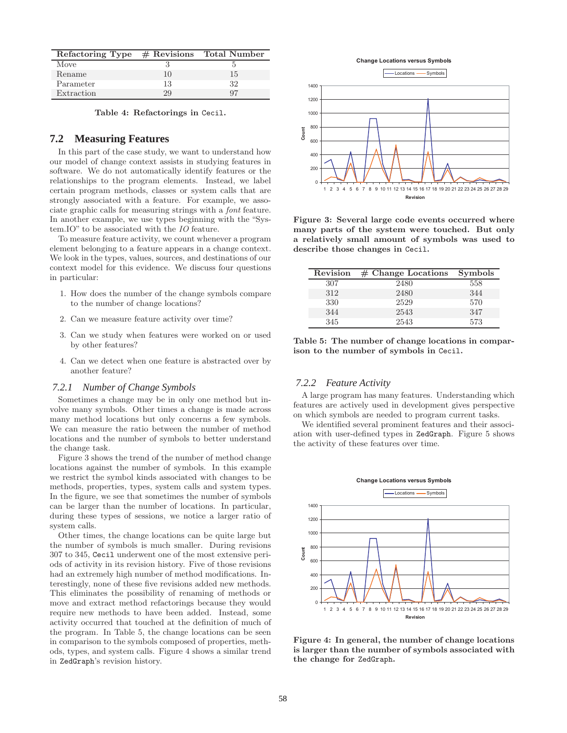| Refactoring Type $#$ Revisions |    | Total Number |
|--------------------------------|----|--------------|
| Move                           |    |              |
| Rename                         | 10 | 15           |
| Parameter                      | 13 | 32           |
| Extraction                     | 29 | 97           |

**Table 4: Refactorings in** Cecil**.**

# **7.2 Measuring Features**

In this part of the case study, we want to understand how our model of change context assists in studying features in software. We do not automatically identify features or the relationships to the program elements. Instead, we label certain program methods, classes or system calls that are strongly associated with a feature. For example, we associate graphic calls for measuring strings with a *font* feature. In another example, we use types beginning with the "System.IO" to be associated with the *IO* feature.

To measure feature activity, we count whenever a program element belonging to a feature appears in a change context. We look in the types, values, sources, and destinations of our context model for this evidence. We discuss four questions in particular:

- 1. How does the number of the change symbols compare to the number of change locations?
- 2. Can we measure feature activity over time?
- 3. Can we study when features were worked on or used by other features?
- 4. Can we detect when one feature is abstracted over by another feature?

#### *7.2.1 Number of Change Symbols*

Sometimes a change may be in only one method but involve many symbols. Other times a change is made across many method locations but only concerns a few symbols. We can measure the ratio between the number of method locations and the number of symbols to better understand the change task.

Figure 3 shows the trend of the number of method change locations against the number of symbols. In this example we restrict the symbol kinds associated with changes to be methods, properties, types, system calls and system types. In the figure, we see that sometimes the number of symbols can be larger than the number of locations. In particular, during these types of sessions, we notice a larger ratio of system calls.

Other times, the change locations can be quite large but the number of symbols is much smaller. During revisions 307 to 345, Cecil underwent one of the most extensive periods of activity in its revision history. Five of those revisions had an extremely high number of method modifications. Interestingly, none of these five revisions added new methods. This eliminates the possibility of renaming of methods or move and extract method refactorings because they would require new methods to have been added. Instead, some activity occurred that touched at the definition of much of the program. In Table 5, the change locations can be seen in comparison to the symbols composed of properties, methods, types, and system calls. Figure 4 shows a similar trend in ZedGraph's revision history.





**Figure 3: Several large code events occurred where many parts of the system were touched. But only a relatively small amount of symbols was used to describe those changes in** Cecil**.**

| Revision | $#$ Change Locations | <b>Symbols</b> |
|----------|----------------------|----------------|
| 307      | 2480                 | 558            |
| 312      | 2480                 | 344            |
| 330      | 2529                 | 570            |
| 344      | 2543                 | 347            |
| 345      | 2543                 | 573            |

**Table 5: The number of change locations in comparison to the number of symbols in** Cecil**.**

#### *7.2.2 Feature Activity*

A large program has many features. Understanding which features are actively used in development gives perspective on which symbols are needed to program current tasks.

We identified several prominent features and their association with user-defined types in ZedGraph. Figure 5 shows the activity of these features over time.



**Figure 4: In general, the number of change locations is larger than the number of symbols associated with the change for** ZedGraph**.**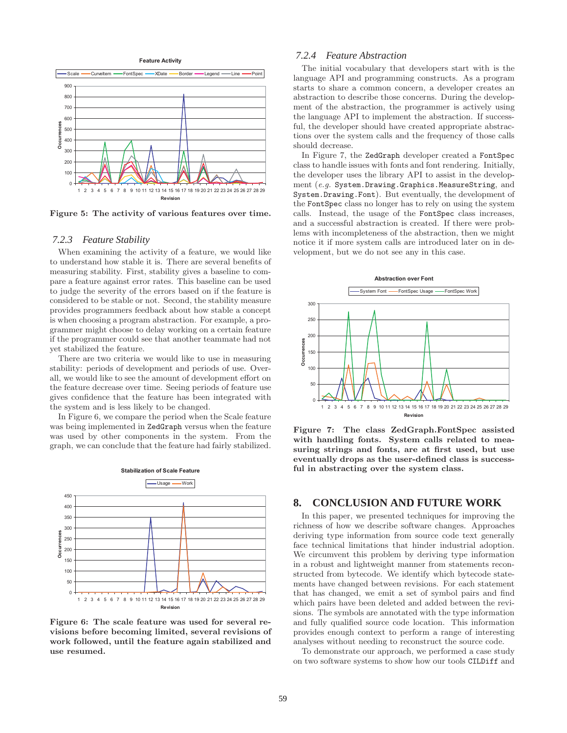

**Figure 5: The activity of various features over time.**

#### *7.2.3 Feature Stability*

When examining the activity of a feature, we would like to understand how stable it is. There are several benefits of measuring stability. First, stability gives a baseline to compare a feature against error rates. This baseline can be used to judge the severity of the errors based on if the feature is considered to be stable or not. Second, the stability measure provides programmers feedback about how stable a concept is when choosing a program abstraction. For example, a programmer might choose to delay working on a certain feature if the programmer could see that another teammate had not yet stabilized the feature.

There are two criteria we would like to use in measuring stability: periods of development and periods of use. Overall, we would like to see the amount of development effort on the feature decrease over time. Seeing periods of feature use gives confidence that the feature has been integrated with the system and is less likely to be changed.

In Figure 6, we compare the period when the Scale feature was being implemented in ZedGraph versus when the feature was used by other components in the system. From the graph, we can conclude that the feature had fairly stabilized.



**Figure 6: The scale feature was used for several revisions before becoming limited, several revisions of work followed, until the feature again stabilized and use resumed.**

# *7.2.4 Feature Abstraction*

The initial vocabulary that developers start with is the language API and programming constructs. As a program starts to share a common concern, a developer creates an abstraction to describe those concerns. During the development of the abstraction, the programmer is actively using the language API to implement the abstraction. If successful, the developer should have created appropriate abstractions over the system calls and the frequency of those calls should decrease.

In Figure 7, the ZedGraph developer created a FontSpec class to handle issues with fonts and font rendering. Initially, the developer uses the library API to assist in the development (*e.g.* System.Drawing.Graphics.MeasureString, and System.Drawing.Font). But eventually, the development of the FontSpec class no longer has to rely on using the system calls. Instead, the usage of the FontSpec class increases, and a successful abstraction is created. If there were problems with incompleteness of the abstraction, then we might notice it if more system calls are introduced later on in development, but we do not see any in this case.



**Figure 7: The class ZedGraph.FontSpec assisted with handling fonts. System calls related to measuring strings and fonts, are at first used, but use eventually drops as the user-defined class is successful in abstracting over the system class.**

# **8. CONCLUSION AND FUTURE WORK**

In this paper, we presented techniques for improving the richness of how we describe software changes. Approaches deriving type information from source code text generally face technical limitations that hinder industrial adoption. We circumvent this problem by deriving type information in a robust and lightweight manner from statements reconstructed from bytecode. We identify which bytecode statements have changed between revisions. For each statement that has changed, we emit a set of symbol pairs and find which pairs have been deleted and added between the revisions. The symbols are annotated with the type information and fully qualified source code location. This information provides enough context to perform a range of interesting analyses without needing to reconstruct the source code.

To demonstrate our approach, we performed a case study on two software systems to show how our tools CILDiff and